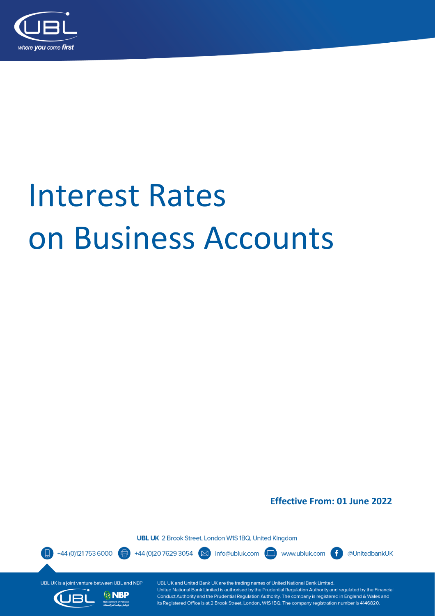

# **Interest Rates** on Business Accounts

**Effective From: 01 June 2022** 

**UBL UK** 2 Brook Street, London W1S 1BQ, United Kingdom

+44 (0)121 753 6000

**NBP** 

@UnitedbankUK

UBL UK is a joint venture between UBL and NBP



Œ

UBL UK and United Bank UK are the trading names of United National Bank Limited. United National Bank Limited is authorised by the Prudential Regulation Authority and regulated by the Financial Conduct Authority and the Prudential Regulation Authority. The company is registered in England & Wales and its Registered Office is at 2 Brook Street, London, W1S 1BQ. The company registration number is 4146820.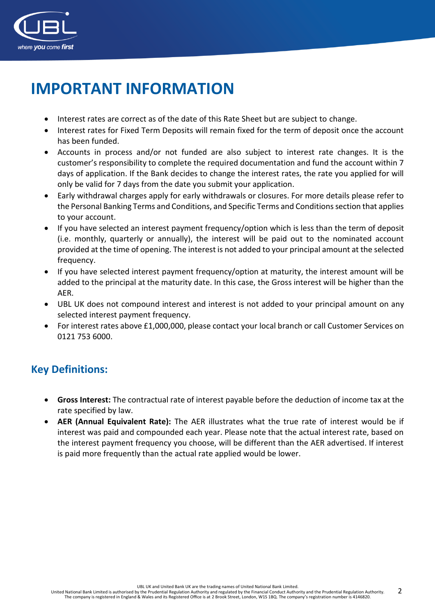

## **IMPORTANT INFORMATION**

- Interest rates are correct as of the date of this Rate Sheet but are subject to change.
- Interest rates for Fixed Term Deposits will remain fixed for the term of deposit once the account has been funded.
- Accounts in process and/or not funded are also subject to interest rate changes. It is the customer's responsibility to complete the required documentation and fund the account within 7 days of application. If the Bank decides to change the interest rates, the rate you applied for will only be valid for 7 days from the date you submit your application.
- Early withdrawal charges apply for early withdrawals or closures. For more details please refer to the Personal Banking Terms and Conditions, and Specific Terms and Conditions section that applies to your account.
- If you have selected an interest payment frequency/option which is less than the term of deposit (i.e. monthly, quarterly or annually), the interest will be paid out to the nominated account provided at the time of opening. The interest is not added to your principal amount at the selected frequency.
- If you have selected interest payment frequency/option at maturity, the interest amount will be added to the principal at the maturity date. In this case, the Gross interest will be higher than the AER.
- UBL UK does not compound interest and interest is not added to your principal amount on any selected interest payment frequency.
- For interest rates above £1,000,000, please contact your local branch or call Customer Services on 0121 753 6000.

#### **Key Definitions:**

- **Gross Interest:** The contractual rate of interest payable before the deduction of income tax at the rate specified by law.
- **AER (Annual Equivalent Rate):** The AER illustrates what the true rate of interest would be if interest was paid and compounded each year. Please note that the actual interest rate, based on the interest payment frequency you choose, will be different than the AER advertised. If interest is paid more frequently than the actual rate applied would be lower.

UBL UK and United Bank UK are the trading names of United National Bank Limited.

2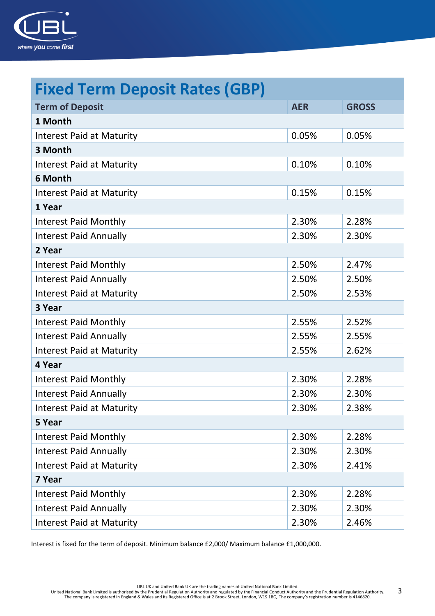

| <b>Fixed Term Deposit Rates (GBP)</b> |            |              |
|---------------------------------------|------------|--------------|
| <b>Term of Deposit</b>                | <b>AER</b> | <b>GROSS</b> |
| 1 Month                               |            |              |
| <b>Interest Paid at Maturity</b>      | 0.05%      | 0.05%        |
| 3 Month                               |            |              |
| <b>Interest Paid at Maturity</b>      | 0.10%      | 0.10%        |
| 6 Month                               |            |              |
| <b>Interest Paid at Maturity</b>      | 0.15%      | 0.15%        |
| 1 Year                                |            |              |
| <b>Interest Paid Monthly</b>          | 2.30%      | 2.28%        |
| <b>Interest Paid Annually</b>         | 2.30%      | 2.30%        |
| 2 Year                                |            |              |
| <b>Interest Paid Monthly</b>          | 2.50%      | 2.47%        |
| <b>Interest Paid Annually</b>         | 2.50%      | 2.50%        |
| <b>Interest Paid at Maturity</b>      | 2.50%      | 2.53%        |
| 3 Year                                |            |              |
| <b>Interest Paid Monthly</b>          | 2.55%      | 2.52%        |
| <b>Interest Paid Annually</b>         | 2.55%      | 2.55%        |
| <b>Interest Paid at Maturity</b>      | 2.55%      | 2.62%        |
| 4 Year                                |            |              |
| <b>Interest Paid Monthly</b>          | 2.30%      | 2.28%        |
| <b>Interest Paid Annually</b>         | 2.30%      | 2.30%        |
| Interest Paid at Maturity             | 2.30%      | 2.38%        |
| 5 Year                                |            |              |
| <b>Interest Paid Monthly</b>          | 2.30%      | 2.28%        |
| <b>Interest Paid Annually</b>         | 2.30%      | 2.30%        |
| <b>Interest Paid at Maturity</b>      | 2.30%      | 2.41%        |
| 7 Year                                |            |              |
| <b>Interest Paid Monthly</b>          | 2.30%      | 2.28%        |
| <b>Interest Paid Annually</b>         | 2.30%      | 2.30%        |
| <b>Interest Paid at Maturity</b>      | 2.30%      | 2.46%        |

Interest is fixed for the term of deposit. Minimum balance £2,000/ Maximum balance £1,000,000.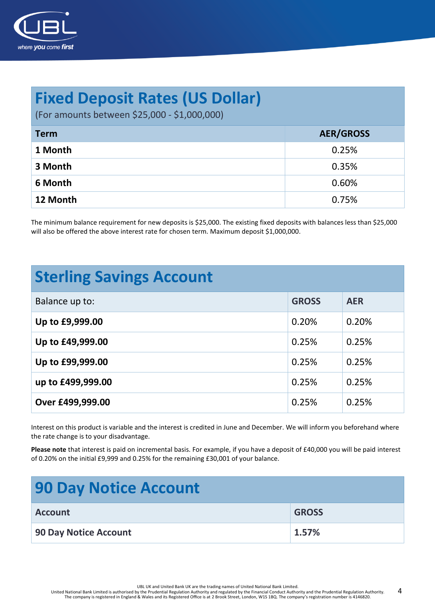

### **Fixed Deposit Rates (US Dollar)**

(For amounts between \$25,000 - \$1,000,000)

| <b>Term</b> | <b>AER/GROSS</b> |
|-------------|------------------|
| 1 Month     | 0.25%            |
| 3 Month     | 0.35%            |
| 6 Month     | 0.60%            |
| 12 Month    | 0.75%            |

The minimum balance requirement for new deposits is \$25,000. The existing fixed deposits with balances less than \$25,000 will also be offered the above interest rate for chosen term. Maximum deposit \$1,000,000.

| <b>Sterling Savings Account</b> |              |            |  |
|---------------------------------|--------------|------------|--|
| Balance up to:                  | <b>GROSS</b> | <b>AER</b> |  |
| Up to £9,999.00                 | 0.20%        | 0.20%      |  |
| Up to £49,999.00                | 0.25%        | 0.25%      |  |
| Up to £99,999.00                | 0.25%        | 0.25%      |  |
| up to £499,999.00               | 0.25%        | 0.25%      |  |
| Over £499,999.00                | 0.25%        | 0.25%      |  |

Interest on this product is variable and the interest is credited in June and December. We will inform you beforehand where the rate change is to your disadvantage.

**Please note** that interest is paid on incremental basis. For example, if you have a deposit of £40,000 you will be paid interest of 0.20% on the initial £9,999 and 0.25% for the remaining £30,001 of your balance.

| <b>90 Day Notice Account</b> |              |
|------------------------------|--------------|
| <b>Account</b>               | <b>GROSS</b> |
| 90 Day Notice Account        | 1.57%        |

UBL UK and United Bank UK are the trading names of United National Bank Limited.